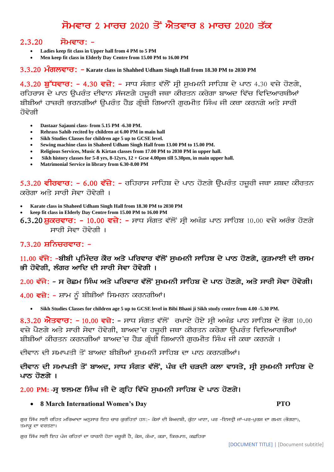# ਸੋਮਵਾਰ 2 ਮਾਰਚ 2020 ਤੋਂ ਐਤਵਾਰ 8 ਮਾਰਚ 2020 ਤੱਕ

# $2.3.20$  ਸੋਮਵਾਰ: -

- **Ladies keep fit class in Upper hall from 4 PM to 5 PM**
- **Men keep fit class in Elderly Day Centre from 15.00 PM to 16.00 PM**

3.3.20 Halver<sub>d</sub>: - Karate class in Shahhed Udham Singh Hall from 18.30 PM to 2030 PM

4.3.20 ਬੱਧਵਾਰ: - 4.30 ਵਜ਼ੇ: - ਸਾਧ ਸੰਗਤ ਵੱਲੋਂ ਸ੍ਰੀ ਸਖਮਨੀ ਸਾਹਿਬ ਦੇ ਪਾਠ 4.30 ਵਜ਼ੇ ਹੋਣਗੇ, ਰਹਿਰਾਸ ਦੇ ਪਾਠ ੳਪਰੰਤ ਦੀਵਾਨ ਸੱਜਣਗੇ ਹਜਰੀ ਜਥਾ ਕੀਰਤਨ ਕਰੇਗਾ ਬਾਅਦ ਵਿੱਚ ਵਿਦਿਆਰਥੀਆਂ ਬੀਬੀਆਂ ਹਾਜ਼ਰੀ ਭਰਨਗੀਆਂ ੳਪਰੰਤ ਹੈਡ ਗੁੰਥੀ ਗਿਆਨੀ ਗਰਮੀਤ ਸਿੰਘ ਜੀ ਕਥਾ ਕਰਨਗੇ ਅਤੇ ਸਾਰੀ <u>ਹੋਵੇਗੀ</u>

- **Dastaar Sajauni class- from 5.15 PM -6.30 PM.**
- **Rehrass Sahib recited by children at 6.00 PM in main hall**
- **Sikh Studies Classes for children age 5 up to GCSE level.**
- **Sewing machine class in Shaheed Udham Singh Hall from 13.00 PM to 15.00 PM.**
- **Religious Services, Music & Kirtan classes from 17.00 PM to 2030 PM in upper hall.**
- **Sikh history classes for 5-8 yrs, 8-12yrs, 12 + Gcse 4.00pm till 5.30pm, in main upper hall.**
- **Matrimonial Service in library from 6.30-8.00 PM**

5.3.20 ਵੀਰਵਾਰ: - 6.00 ਵੱਜ਼ੇ: - ਰਹਿਰਾਸ ਸਾਹਿਬ ਦੇ ਪਾਠ ਹੋਣਗੇ ਉਪਰੰਤ ਹਜ਼ੂਰੀ ਜਥਾ ਸ਼ਬਦ ਕੀਰਤਨ ਕਰੇਗਾ ਅਤੇ ਸਾਰੀ ਸੇਵਾ ਹੋਵੇਗੀ ।

- **Karate class in Shaheed Udham Singh Hall from 18.30 PM to 2030 PM**
- **keep fit class in Elderly Day Centre from 15.00 PM to 16.00 PM**
- $6.3.20$ ਸ਼ੁਕਰਵਾਰ: 10.00 ਵਜ਼ੇ: ਸਾਧ ਸੰਗਤ ਵੱਲੋਂ ਸ੍ਰੀ ਅਖੰਡ ਪਾਠ ਸਾਹਿਬ 10.00 ਵਜ਼ੇ ਅਰੰਭ ਹੋਣਗੇ ਸਾਰੀ ਸੇਵਾ ਹੋਵੇਗੀ ।

# $7.3.20$   $H \overline{O}$   $H \overline{O}$   $H \overline{O}$

# 11.00 ਵੱਜੇ: -ਬੀਬੀ ਪ੍ਰਮਿੰਦਰ ਕੌਰ ਅਤੇ ਪਰਿਵਾਰ ਵੱਲੋਂ ਸੁਖਮਨੀ ਸਾਹਿਬ ਦੇ ਪਾਠ ਹੋਣਗੇ, ਕੁੜਮਾਈ ਦੀ ਰਸਮ ਭੀ ਹੋਵੇਗੀ, ਲੰਗਰ ਆਦਿ ਦੀ ਸਾਰੀ ਸੇਵਾ ਹੋਵੇਗੀ ।

### 2.00 ਵੱਜੇ: - ਸ ਰੇਛਮ ਸਿੰਘ ਅਤੇ ਪਰਿਵਾਰ ਵੱਲੋਂ ਸਖਮਨੀ ਸਾਹਿਬ ਦੇ ਪਾਠ ਹੋਣਗੇ, ਅਤੇ ਸਾਰੀ ਸੇਵਾ ਹੋਵੇਗੀ।

- 4.00 ਵਜ਼ੇ: ਸ਼ਾਮ ਨੂੰ ਬੀਬੀਆਂ ਸਿਮਰਨ ਕਰਨਗੀਆਂ।
	- **Sikh Studies Classes for children age 5 up to GCSE level in Bibi Bhani ji Sikh study centre from 4.00 -5.30 PM.**

8.3.20 ਐਤਵਾਰ: - 10.00 ਵਜ਼ੇ: - ਸਾਧ ਸੰਗਤ ਵੱਲੋਂ ਰਖਾਏ ਹੋਏ ਸ੍ਰੀ ਅਖੰਡ ਪਾਠ ਸਾਹਿਬ ਦੇ ਭੋਗ 10.00 ਵਜ਼ੇ ਪੈਣਗੇ ਅਤੇ ਸਾਰੀ ਸੇਵਾ ਹੋਵੇਗੀ, ਬਾਅਦ'ਚ ਹਜ਼ਰੀ ਜਥਾ ਕੀਰਤਨ ਕਰੇਗਾ ਉਪਰੰਤ ਵਿਦਿਆਰਥੀਆਂ ਬੀਬੀਆਂ ਕੀਰਤਨ ਕਰਨਗੀਆਂ ਬਾਅਦ'ਚ ਹੈਡ ਗ੍ਰੰਥੀ ਗਿਆਨੀ ਗੁਰਮੀਤ ਸਿੰਘ ਜੀ ਕਥਾ ਕਰਨਗੇ ।

ਦੀਵਾਨ ਦੀ ਸਮਾਪਤੀ ਤੋਂ ਬਾਅਦ ਬੀਬੀਆਂ ਸੁਖਮਨੀ ਸਾਹਿਬ ਦਾ ਪਾਠ ਕਰਨਗੀਆਂ।

# ਦੀਵਾਨ ਦੀ ਸਮਾਪਤੀ ਤੋਂ ਬਾਅਦ, ਸਾਧ ਸੰਗਤ ਵੱਲੋਂ, ਪੰਥ ਦੀ ਚੜਦੀ ਕਲਾ ਵਾਸਤੇ, ਸ੍ਰੀ ਸਖਮਨੀ ਸਾਹਿਬ ਦੇ ਪਾਨ ਹੋਣਗੇ ।

#### 2.00 PM: -ਸ ਝਲਮਣ ਸਿੰਘ ਜੀ ਦੇ ਗਹਿ ਵਿੱਖੇ ਸਖਮਨੀ ਸਾਹਿਬ ਦੇ ਪਾਠ ਹੋਣਗੇ।

#### • **8 March International Women's Day PTO**

ਗੁਰ ਸਿੱਖ ਲਈ ਰਹਿਤ ਮਰਿਆਦਾ ਅਨੁਸਾਰ ਇਹ ਚਾਰ ਕੁਰਹਿਤਾਂ ਹਨ:- ਕੇਸਾਂ ਦੀ ਬੇਅਦਬੀ, ਕੁੱਠਾ ਖਾਣਾ, ਪਰ -ਇਸਤ੍ਰੀ ਜਾਂ-ਪਰ-ਪੁਰਸ਼ ਦਾ ਗਮਨ (ਭੋਗਣਾ), ਤਮਾਕੁ ਦਾ ਵਰਤਣਾ।

ਗੁਰ ਸਿੱਖ ਲਈ ਇਹ ਪੰਜ ਰਹਿਤਾਂ ਦਾ ਧਾਰਨੀ ਹੋਣਾ ਜ਼ਰੂਰੀ ਹੈ, ਕੇਸ, ਕੰਘਾ, ਕੜਾ, ਕਿਰਪਾਨ, ਕਛਹਿਰਾ